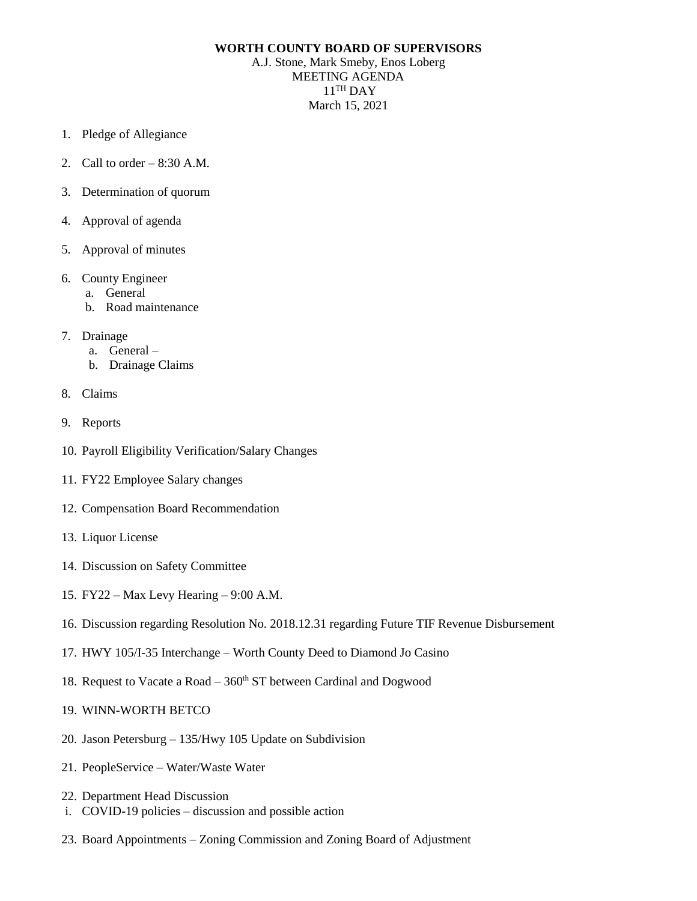## **WORTH COUNTY BOARD OF SUPERVISORS**

A.J. Stone, Mark Smeby, Enos Loberg MEETING AGENDA  $11^{\text{TH}}$  DAY March 15, 2021

- 1. Pledge of Allegiance
- 2. Call to order  $-8:30$  A.M.
- 3. Determination of quorum
- 4. Approval of agenda
- 5. Approval of minutes
- 6. County Engineer
	- a. General
	- b. Road maintenance
- 7. Drainage
	- a. General –
	- b. Drainage Claims
- 8. Claims
- 9. Reports
- 10. Payroll Eligibility Verification/Salary Changes
- 11. FY22 Employee Salary changes
- 12. Compensation Board Recommendation
- 13. Liquor License
- 14. Discussion on Safety Committee
- 15. FY22 Max Levy Hearing 9:00 A.M.
- 16. Discussion regarding Resolution No. 2018.12.31 regarding Future TIF Revenue Disbursement
- 17. HWY 105/I-35 Interchange Worth County Deed to Diamond Jo Casino
- 18. Request to Vacate a Road  $-360<sup>th</sup>$  ST between Cardinal and Dogwood
- 19. WINN-WORTH BETCO
- 20. Jason Petersburg 135/Hwy 105 Update on Subdivision
- 21. PeopleService Water/Waste Water
- 22. Department Head Discussion
- i. COVID-19 policies discussion and possible action
- 23. Board Appointments Zoning Commission and Zoning Board of Adjustment